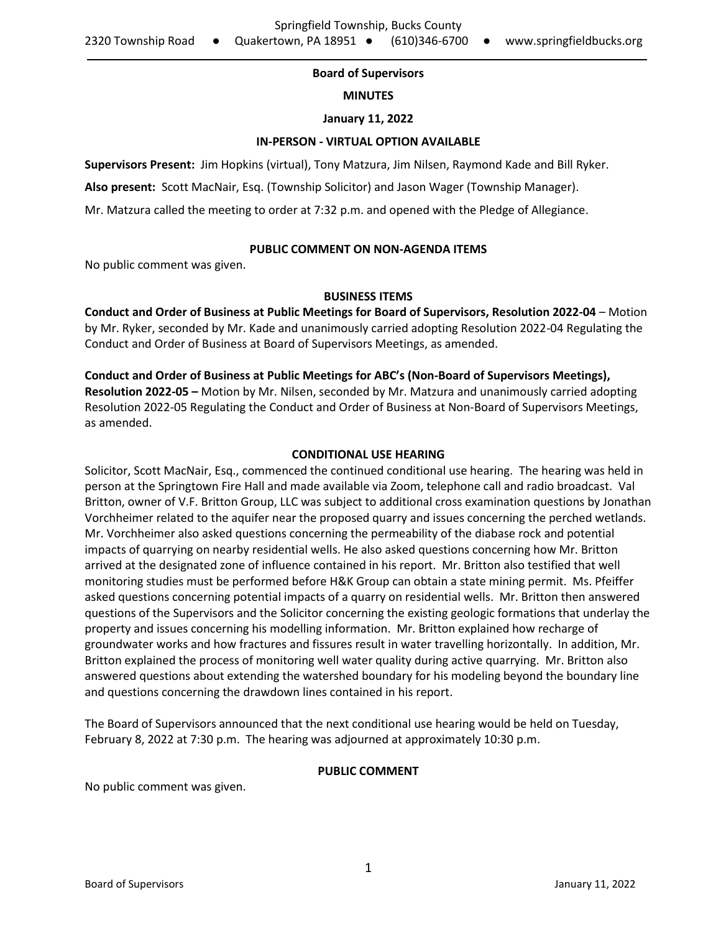# **Board of Supervisors**

### **MINUTES**

### **January 11, 2022**

### **IN-PERSON - VIRTUAL OPTION AVAILABLE**

**Supervisors Present:** Jim Hopkins (virtual), Tony Matzura, Jim Nilsen, Raymond Kade and Bill Ryker.

**Also present:** Scott MacNair, Esq. (Township Solicitor) and Jason Wager (Township Manager).

Mr. Matzura called the meeting to order at 7:32 p.m. and opened with the Pledge of Allegiance.

## **PUBLIC COMMENT ON NON-AGENDA ITEMS**

No public comment was given.

## **BUSINESS ITEMS**

**Conduct and Order of Business at Public Meetings for Board of Supervisors, Resolution 2022-04** – Motion by Mr. Ryker, seconded by Mr. Kade and unanimously carried adopting Resolution 2022-04 Regulating the Conduct and Order of Business at Board of Supervisors Meetings, as amended.

# **Conduct and Order of Business at Public Meetings for ABC's (Non-Board of Supervisors Meetings), Resolution 2022-05 –** Motion by Mr. Nilsen, seconded by Mr. Matzura and unanimously carried adopting Resolution 2022-05 Regulating the Conduct and Order of Business at Non-Board of Supervisors Meetings, as amended.

# **CONDITIONAL USE HEARING**

Solicitor, Scott MacNair, Esq., commenced the continued conditional use hearing. The hearing was held in person at the Springtown Fire Hall and made available via Zoom, telephone call and radio broadcast. Val Britton, owner of V.F. Britton Group, LLC was subject to additional cross examination questions by Jonathan Vorchheimer related to the aquifer near the proposed quarry and issues concerning the perched wetlands. Mr. Vorchheimer also asked questions concerning the permeability of the diabase rock and potential impacts of quarrying on nearby residential wells. He also asked questions concerning how Mr. Britton arrived at the designated zone of influence contained in his report. Mr. Britton also testified that well monitoring studies must be performed before H&K Group can obtain a state mining permit. Ms. Pfeiffer asked questions concerning potential impacts of a quarry on residential wells. Mr. Britton then answered questions of the Supervisors and the Solicitor concerning the existing geologic formations that underlay the property and issues concerning his modelling information. Mr. Britton explained how recharge of groundwater works and how fractures and fissures result in water travelling horizontally. In addition, Mr. Britton explained the process of monitoring well water quality during active quarrying. Mr. Britton also answered questions about extending the watershed boundary for his modeling beyond the boundary line and questions concerning the drawdown lines contained in his report.

The Board of Supervisors announced that the next conditional use hearing would be held on Tuesday, February 8, 2022 at 7:30 p.m. The hearing was adjourned at approximately 10:30 p.m.

#### **PUBLIC COMMENT**

No public comment was given.